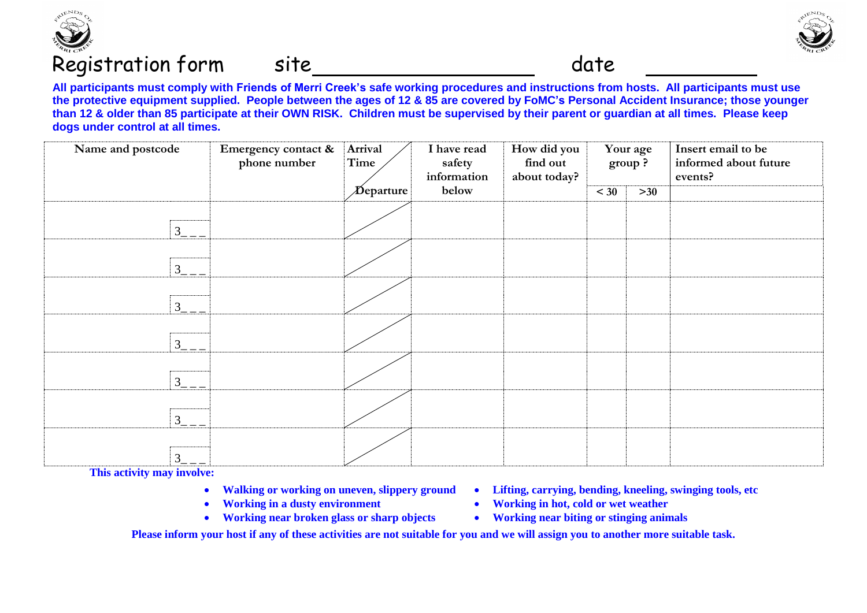

## Registration form site
stration form site
stration form site
stration form site
stration form site
stration form site
stration form site
stration form site
stration form site
stration form site
stration form site
stration



**All participants must comply with Friends of Merri Creek's safe working procedures and instructions from hosts. All participants must use the protective equipment supplied. People between the ages of 12 & 85 are covered by FoMC's Personal Accident Insurance; those younger than 12 & older than 85 participate at their OWN RISK. Children must be supervised by their parent or guardian at all times. Please keep dogs under control at all times.** 

| Name and postcode | Emergency contact &<br>phone number | Arrival<br>Time             | I have read<br>safety<br>information | How did you<br>find out<br>about today? | Your age<br>group? |       | Insert email to be<br>informed about future<br>events? |
|-------------------|-------------------------------------|-----------------------------|--------------------------------------|-----------------------------------------|--------------------|-------|--------------------------------------------------------|
|                   |                                     | $\bm{\mathcal{D}}$ eparture | below                                |                                         | $<$ 30             | $>30$ |                                                        |
| $3_{-}$           |                                     |                             |                                      |                                         |                    |       |                                                        |
| $3 - -$           |                                     |                             |                                      |                                         |                    |       |                                                        |
| $3 - -$           |                                     |                             |                                      |                                         |                    |       |                                                        |
| $3_{-}$           |                                     |                             |                                      |                                         |                    |       |                                                        |
| $3 - -$           |                                     |                             |                                      |                                         |                    |       |                                                        |
| $3 - -$           |                                     |                             |                                      |                                         |                    |       |                                                        |
| $3 - -$           |                                     |                             |                                      |                                         |                    |       |                                                        |

**This activity may involve:**

- 
- 
- Working near broken glass or sharp objects **•** Working near biting or stinging animals
- **Walking or working on uneven, slippery ground Lifting, carrying, bending, kneeling, swinging tools, etc**
- Working in a dusty environment **•** Working in hot, cold or wet weather
	-

**Please inform your host if any of these activities are not suitable for you and we will assign you to another more suitable task.**